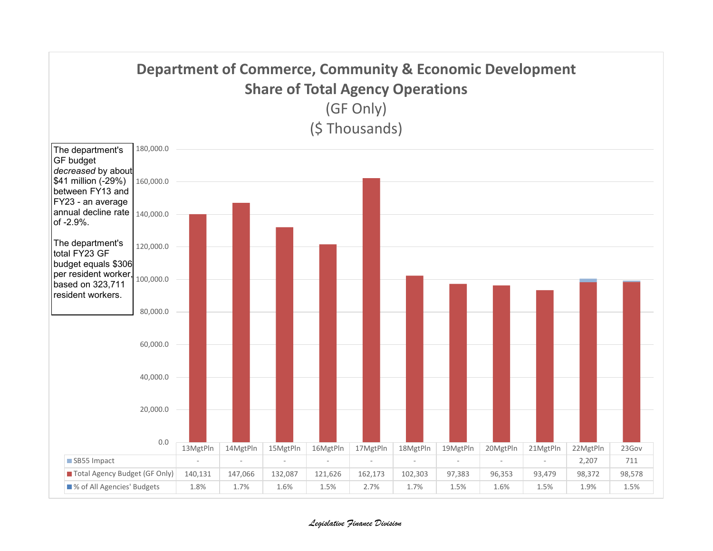

*Legislative Finance Division*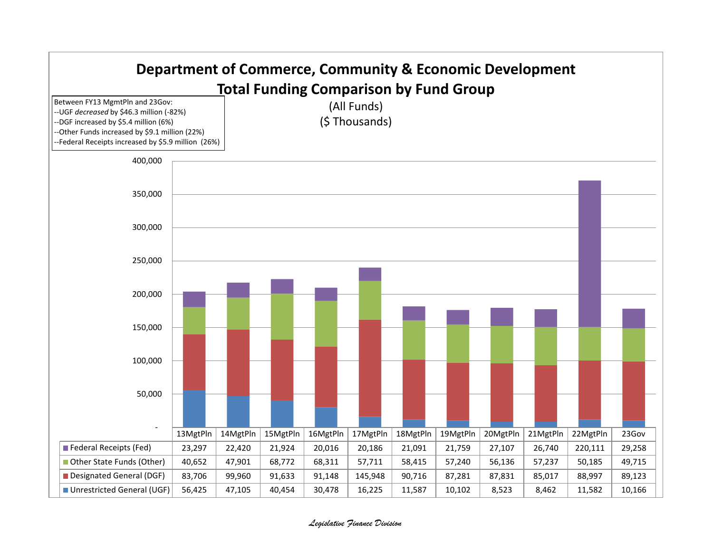

## *Legislative Finance Division*